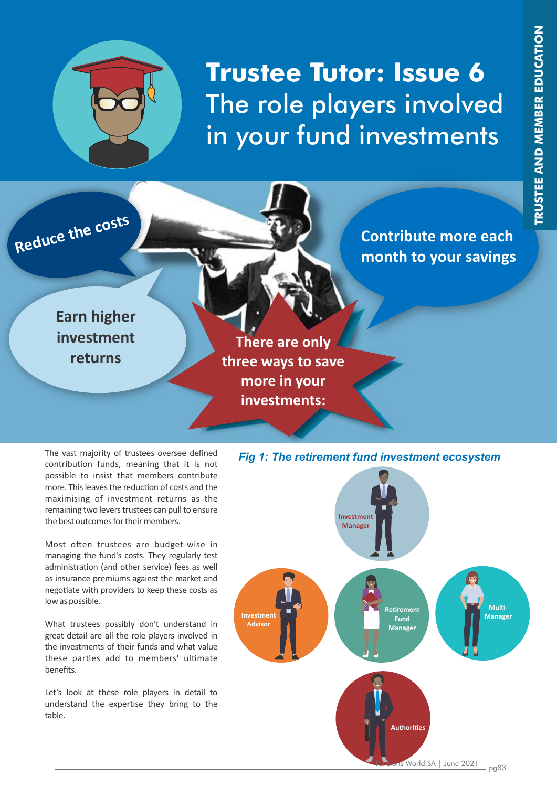

# **Trustee Tutor: Issue 6**  The role players involved in your fund investments

**Contribute more each Reduce the contribute more each**<br> **Reduce the contribute more each**<br> **Reduce the contribute more each**<br> **Reduce the costs** 

**Earn higher investment returns**

**There are only three ways to save more in your investments:**

The vast majority of trustees oversee defined contribution funds, meaning that it is not possible to insist that members contribute more. This leaves the reduction of costs and the maximising of investment returns as the remaining two levers trustees can pull to ensure the best outcomes for their members.

Most often trustees are budget-wise in managing the fund's costs. They regularly test administration (and other service) fees as well as insurance premiums against the market and negotiate with providers to keep these costs as low as possible.

What trustees possibly don't understand in great detail are all the role players involved in the investments of their funds and what value these parties add to members' ultimate benefits.

Let's look at these role players in detail to understand the expertise they bring to the table.

#### *Fig 1: The retirement fund investment ecosystem*

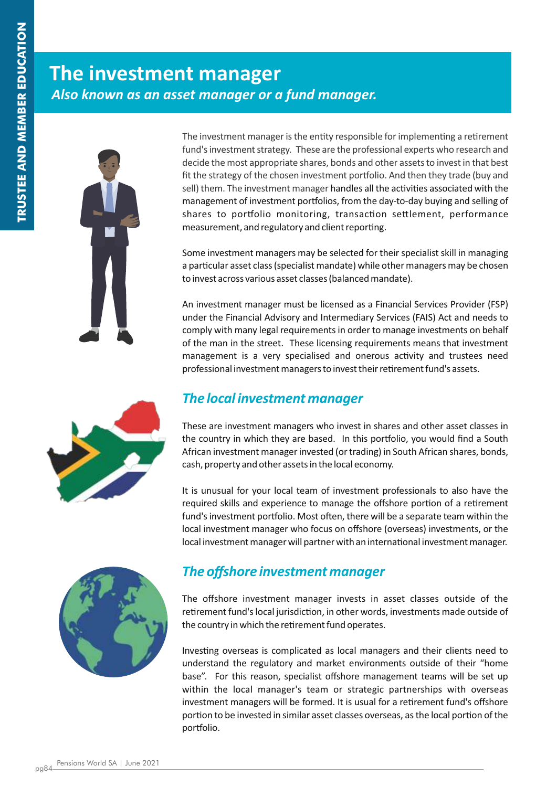### **The investment manager** *Also known as an asset manager or a fund manager.*



The investment manager is the entity responsible for implementing a retirement fund's investment strategy. These are the professional experts who research and decide the most appropriate shares, bonds and other assets to invest in that best fit the strategy of the chosen investment portfolio. And then they trade (buy and sell) them. The investment manager handles all the activities associated with the management of investment portfolios, from the day-to-day buying and selling of shares to portfolio monitoring, transaction settlement, performance measurement, and regulatory and client reporting.

Some investment managers may be selected for their specialist skill in managing a particular asset class (specialist mandate) while other managers may be chosen to invest across various asset classes (balanced mandate).

An investment manager must be licensed as a Financial Services Provider (FSP) under the Financial Advisory and Intermediary Services (FAIS) Act and needs to comply with many legal requirements in order to manage investments on behalf of the man in the street. These licensing requirements means that investment management is a very specialised and onerous activity and trustees need professional investment managers to invest their retirement fund's assets.

#### *The local investment manager*

These are investment managers who invest in shares and other asset classes in the country in which they are based. In this portfolio, you would find a South African investment manager invested (or trading) in South African shares, bonds, cash, property and other assets in the local economy.

It is unusual for your local team of investment professionals to also have the required skills and experience to manage the offshore portion of a retirement fund's investment portfolio. Most often, there will be a separate team within the local investment manager who focus on offshore (overseas) investments, or the local investment manager will partner with an international investment manager.



#### *The offshore investment manager*

The offshore investment manager invests in asset classes outside of the retirement fund's local jurisdiction, in other words, investments made outside of the country in which the retirement fund operates.

Investing overseas is complicated as local managers and their clients need to understand the regulatory and market environments outside of their "home base". For this reason, specialist offshore management teams will be set up within the local manager's team or strategic partnerships with overseas investment managers will be formed. It is usual for a retirement fund's offshore portion to be invested in similar asset classes overseas, as the local portion of the portfolio.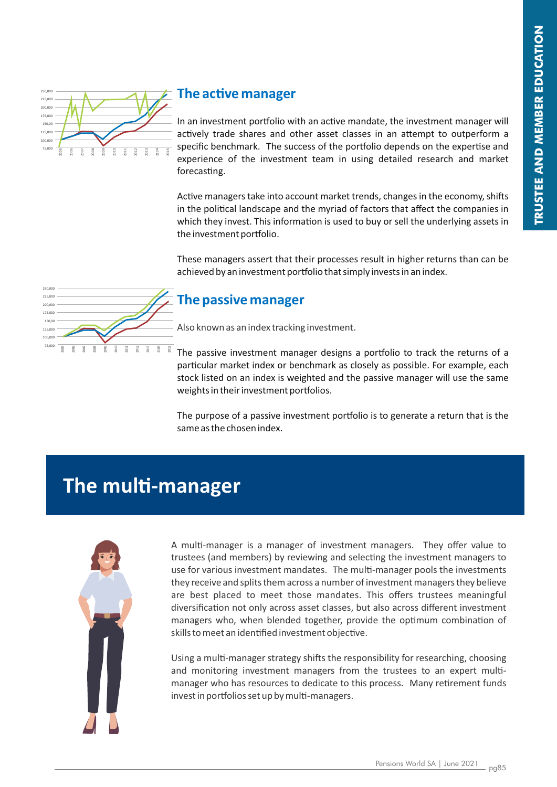

#### **The active manager**

In an investment portfolio with an active mandate, the investment manager will actively trade shares and other asset classes in an attempt to outperform a specific benchmark. The success of the portfolio depends on the expertise and experience of the investment team in using detailed research and market forecasting.

Active managers take into account market trends, changes in the economy, shifts in the political landscape and the myriad of factors that affect the companies in which they invest. This information is used to buy or sell the underlying assets in the investment portfolio.

These managers assert that their processes result in higher returns than can be achieved by an investment portfolio that simply invests in an index.



#### **The passive manager**

Also known as an index tracking investment.

The passive investment manager designs a portfolio to track the returns of a particular market index or benchmark as closely as possible. For example, each stock listed on an index is weighted and the passive manager will use the same weights in their investment portfolios.

The purpose of a passive investment portfolio is to generate a return that is the same as the chosen index.

### **The multi-manager**



A multi-manager is a manager of investment managers. They offer value to trustees (and members) by reviewing and selecting the investment managers to use for various investment mandates. The multi-manager pools the investments they receive and splits them across a number of investment managers they believe are best placed to meet those mandates. This offers trustees meaningful diversification not only across asset classes, but also across different investment managers who, when blended together, provide the optimum combination of skills to meet an identified investment objective.

Using a multi-manager strategy shifts the responsibility for researching, choosing and monitoring investment managers from the trustees to an expert multimanager who has resources to dedicate to this process. Many retirement funds invest in portfolios set up by multi-managers.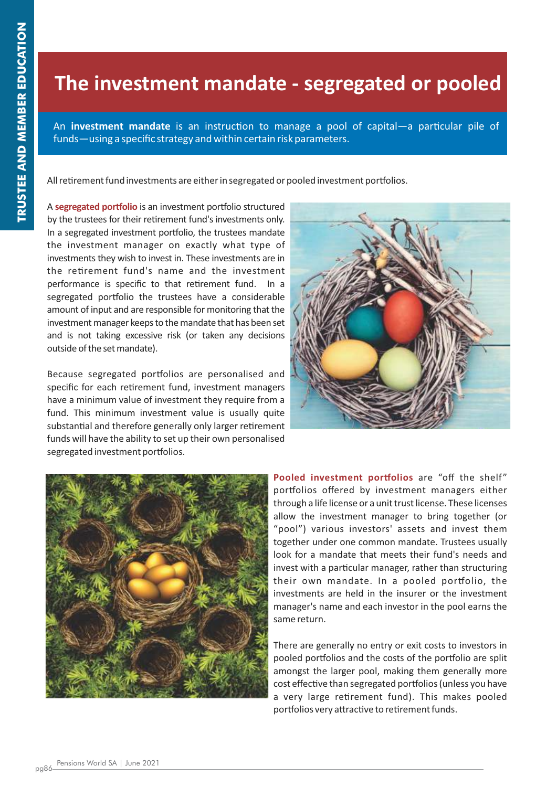### **The investment mandate - segregated or pooled**

An **investment mandate** is an instruction to manage a pool of capital—a particular pile of funds—using a specific strategy and within certain risk parameters.

All retirement fund investments are either in segregated or pooled investment portfolios.

A **segregated portfolio** is an investment portfolio structured by the trustees for their retirement fund's investments only. In a segregated investment portfolio, the trustees mandate the investment manager on exactly what type of investments they wish to invest in. These investments are in the retirement fund's name and the investment performance is specific to that retirement fund. In a segregated portfolio the trustees have a considerable amount of input and are responsible for monitoring that the investment manager keeps to the mandate that has been set and is not taking excessive risk (or taken any decisions outside of the set mandate).

Because segregated portfolios are personalised and specific for each retirement fund, investment managers have a minimum value of investment they require from a fund. This minimum investment value is usually quite substantial and therefore generally only larger retirement funds will have the ability to set up their own personalised segregated investment portfolios.





**Pooled investment portfolios** are "off the shelf" portfolios offered by investment managers either through a life license or a unit trust license. These licenses allow the investment manager to bring together (or "pool") various investors' assets and invest them together under one common mandate. Trustees usually look for a mandate that meets their fund's needs and invest with a particular manager, rather than structuring their own mandate. In a pooled portfolio, the investments are held in the insurer or the investment manager's name and each investor in the pool earns the same return.

There are generally no entry or exit costs to investors in pooled portfolios and the costs of the portfolio are split amongst the larger pool, making them generally more cost effective than segregated portfolios (unless you have a very large retirement fund). This makes pooled portfolios very attractive to retirement funds.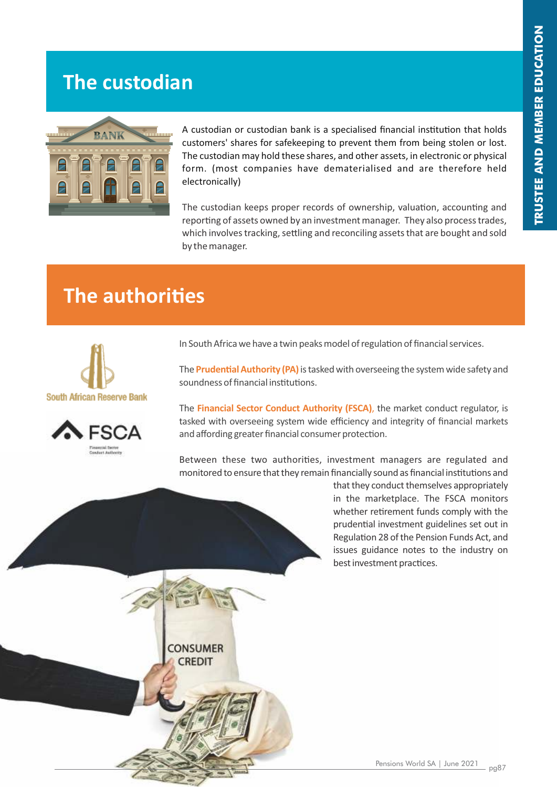### **The custodian**



A custodian or custodian bank is a specialised financial institution that holds customers' shares for safekeeping to prevent them from being stolen or lost. The custodian may hold these shares, and other assets, in electronic or physical form. (most companies have dematerialised and are therefore held electronically)

The custodian keeps proper records of ownership, valuation, accounting and reporting of assets owned by an investment manager. They also process trades, which involves tracking, settling and reconciling assets that are bought and sold by the manager.

## **The authorities**

**CONSUMER** CREDIT





In South Africa we have a twin peaks model of regulation of financial services.

The **Prudential Authority (PA)** is tasked with overseeing the system wide safety and soundness of financial institutions.

The **Financial Sector Conduct Authority (FSCA)**, the market conduct regulator, is tasked with overseeing system wide efficiency and integrity of financial markets and affording greater financial consumer protection.

Between these two authorities, investment managers are regulated and monitored to ensure that they remain financially sound as financial institutions and

> that they conduct themselves appropriately in the marketplace. The FSCA monitors whether retirement funds comply with the prudential investment guidelines set out in Regulation 28 of the Pension Funds Act, and issues guidance notes to the industry on best investment practices.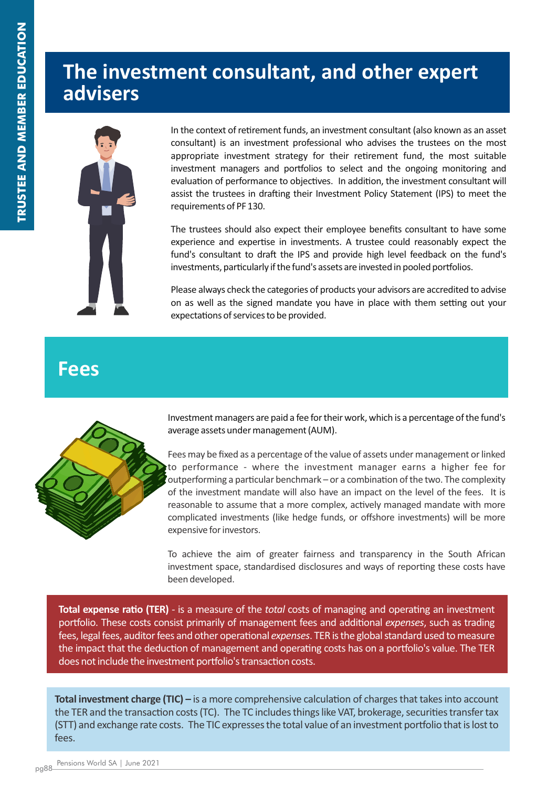### **The investment consultant, and other expert advisers**



In the context of retirement funds, an investment consultant (also known as an asset consultant) is an investment professional who advises the trustees on the most appropriate investment strategy for their retirement fund, the most suitable investment managers and portfolios to select and the ongoing monitoring and evaluation of performance to objectives. In addition, the investment consultant will assist the trustees in drafting their Investment Policy Statement (IPS) to meet the requirements of PF 130.

The trustees should also expect their employee benefits consultant to have some experience and expertise in investments. A trustee could reasonably expect the fund's consultant to draft the IPS and provide high level feedback on the fund's investments, particularly if the fund's assets are invested in pooled portfolios.

Please always check the categories of products your advisors are accredited to advise on as well as the signed mandate you have in place with them setting out your expectations of services to be provided.

#### **Fees**



Investment managers are paid a fee for their work, which is a percentage of the fund's average assets under management (AUM).

Fees may be fixed as a percentage of the value of assets under management or linked to performance - where the investment manager earns a higher fee for outperforming a particular benchmark – or a combination of the two. The complexity of the investment mandate will also have an impact on the level of the fees. It is reasonable to assume that a more complex, actively managed mandate with more complicated investments (like hedge funds, or offshore investments) will be more expensive for investors.

To achieve the aim of greater fairness and transparency in the South African investment space, standardised disclosures and ways of reporting these costs have been developed.

**Total expense ratio (TER)** - is a measure of the *total* costs of managing and operating an investment portfolio. These costs consist primarily of management fees and additional *expenses*, such as trading fees, legal fees, auditor fees and other operational *expenses*. TER is the global standard used to measure the impact that the deduction of management and operating costs has on a portfolio's value. The TER does not include the investment portfolio's transaction costs.

**Total investment charge (TIC) – is a more comprehensive calculation of charges that takes into account** the TER and the transaction costs (TC). The TC includes things like VAT, brokerage, securities transfer tax (STT) and exchange rate costs. The TIC expresses the total value of an investment portfolio that is lost to fees.